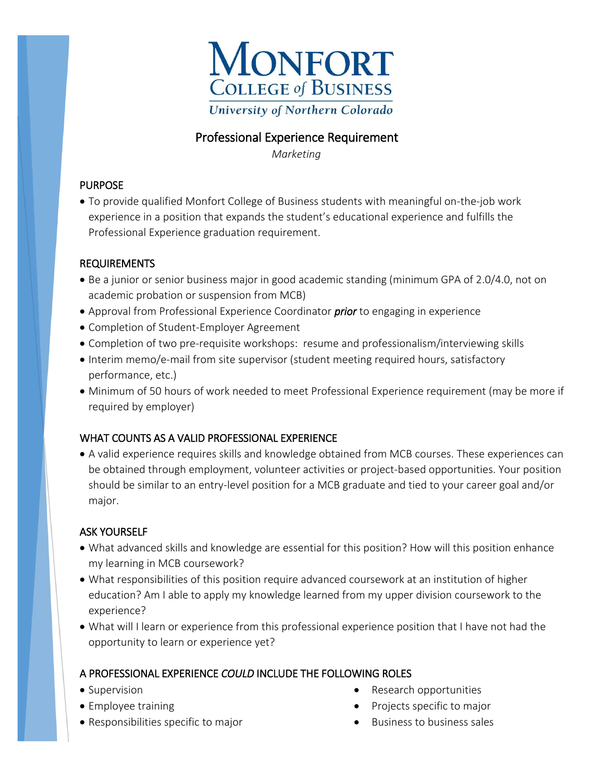

## Professional Experience Requirement

 *Marketing* 

### PURPOSE

 To provide qualified Monfort College of Business students with meaningful on-the-job work experience in a position that expands the student's educational experience and fulfills the Professional Experience graduation requirement.

#### REQUIREMENTS

- Be a junior or senior business major in good academic standing (minimum GPA of 2.0/4.0, not on academic probation or suspension from MCB)
- Approval from Professional Experience Coordinator *prior* to engaging in experience
- Completion of Student-Employer Agreement
- Completion of two pre-requisite workshops: resume and professionalism/interviewing skills
- Interim memo/e-mail from site supervisor (student meeting required hours, satisfactory performance, etc.)
- Minimum of 50 hours of work needed to meet Professional Experience requirement (may be more if required by employer)

### WHAT COUNTS AS A VALID PROFESSIONAL EXPERIENCE

 A valid experience requires skills and knowledge obtained from MCB courses. These experiences can be obtained through employment, volunteer activities or project-based opportunities. Your position should be similar to an entry-level position for a MCB graduate and tied to your career goal and/or major.

### ASK YOURSELF

- What advanced skills and knowledge are essential for this position? How will this position enhance my learning in MCB coursework?
- What responsibilities of this position require advanced coursework at an institution of higher education? Am I able to apply my knowledge learned from my upper division coursework to the experience?
- What will I learn or experience from this professional experience position that I have not had the opportunity to learn or experience yet?

### A PROFESSIONAL EXPERIENCE *COULD* INCLUDE THE FOLLOWING ROLES

- Supervision
- Employee training
- Responsibilities specific to major
- Research opportunities
- Projects specific to major
- $\bullet$  Business to business sales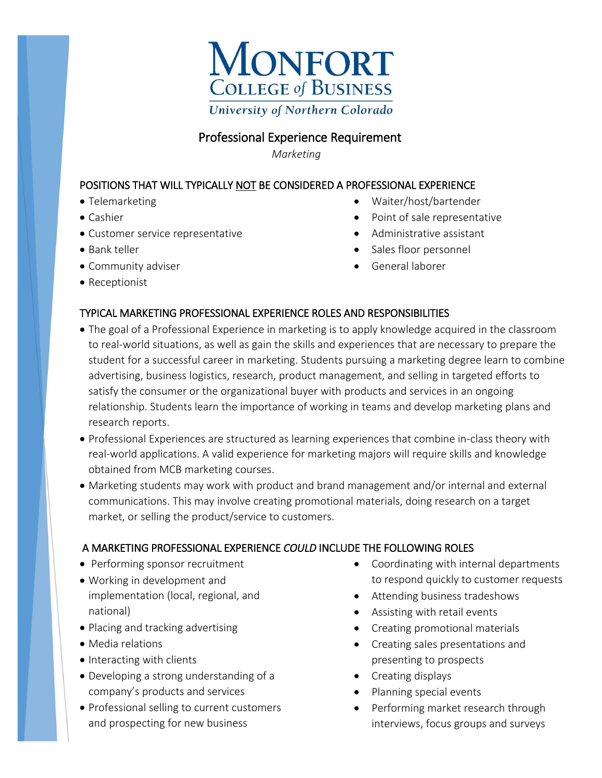

# Professional Experience Requirement

 *Marketing*

### POSITIONS THAT WILL TYPICALLY NOT BE CONSIDERED A PROFESSIONAL EXPERIENCE

- Telemarketing
- Cashier
- Customer service representative
- Bank teller
- Community adviser
- Receptionist
- Waiter/host/bartender
- Point of sale representative
- Administrative assistant
- Sales floor personnel
- General laborer

### TYPICAL MARKETING PROFESSIONAL EXPERIENCE ROLES AND RESPONSIBILITIES

- The goal of a Professional Experience in marketing is to apply knowledge acquired in the classroom to real-world situations, as well as gain the skills and experiences that are necessary to prepare the student for a successful career in marketing. Students pursuing a marketing degree learn to combine advertising, business logistics, research, product management, and selling in targeted efforts to satisfy the consumer or the organizational buyer with products and services in an ongoing relationship. Students learn the importance of working in teams and develop marketing plans and research reports.
- Professional Experiences are structured as learning experiences that combine in-class theory with real-world applications. A valid experience for marketing majors will require skills and knowledge obtained from MCB marketing courses.
- Marketing students may work with product and brand management and/or internal and external communications. This may involve creating promotional materials, doing research on a target market, or selling the product/service to customers.

### A MARKETING PROFESSIONAL EXPERIENCE *COULD* INCLUDE THE FOLLOWING ROLES

- Performing sponsor recruitment
- Working in development and implementation (local, regional, and national)
- Placing and tracking advertising
- Media relations
- Interacting with clients
- Developing a strong understanding of a company's products and services
- Professional selling to current customers and prospecting for new business
- Coordinating with internal departments to respond quickly to customer requests
- Attending business tradeshows
- Assisting with retail events
- Creating promotional materials
- Creating sales presentations and presenting to prospects
- Creating displays
- Planning special events
- Performing market research through interviews, focus groups and surveys